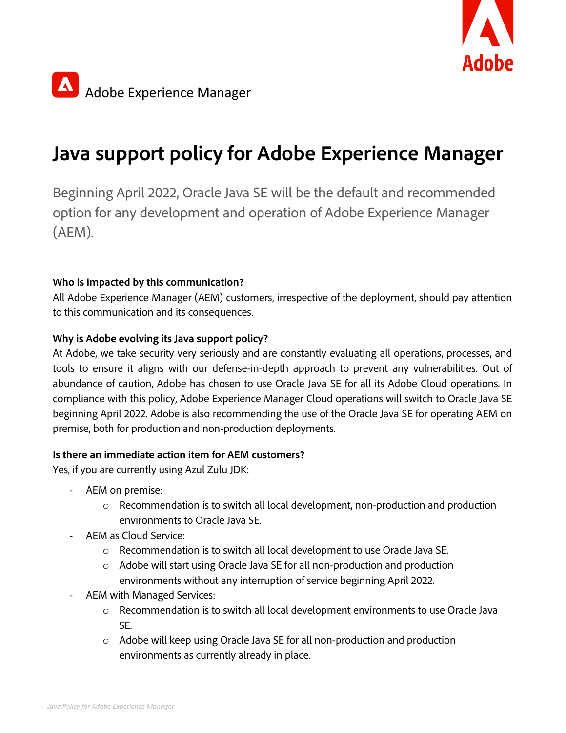



# **Java support policy for Adobe Experience Manager**

Beginning April 2022, Oracle Java SE will be the default and recommended option for any development and operation of Adobe Experience Manager (AEM).

# **Who is impacted by this communication?**

All Adobe Experience Manager (AEM) customers, irrespective of the deployment, should pay attention to this communication and its consequences.

# **Why is Adobe evolving its Java support policy?**

At Adobe, we take security very seriously and are constantly evaluating all operations, processes, and tools to ensure it aligns with our defense-in-depth approach to prevent any vulnerabilities. Out of abundance of caution, Adobe has chosen to use Oracle Java SE for all its Adobe Cloud operations. In compliance with this policy, Adobe Experience Manager Cloud operations will switch to Oracle Java SE beginning April 2022. Adobe is also recommending the use of the Oracle Java SE for operating AEM on premise, both for production and non-production deployments.

### **Is there an immediate action item for AEM customers?**

Yes, if you are currently using Azul Zulu JDK:

- AEM on premise:
	- o Recommendation is to switch all local development, non-production and production environments to Oracle Java SE.
- AEM as Cloud Service:
	- o Recommendation is to switch all local development to use Oracle Java SE.
	- o Adobe will start using Oracle Java SE for all non-production and production environments without any interruption of service beginning April 2022.
- AEM with Managed Services:
	- o Recommendation is to switch all local development environments to use Oracle Java SE.
	- o Adobe will keep using Oracle Java SE for all non-production and production environments as currently already in place.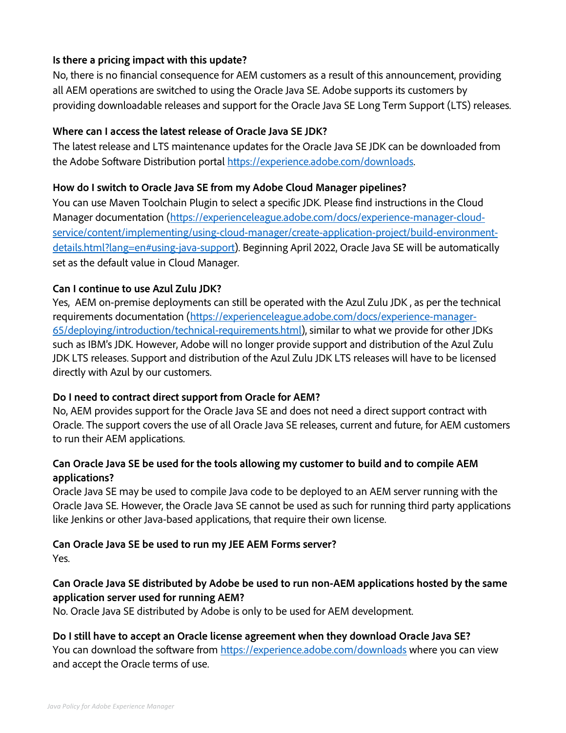#### **Is there a pricing impact with this update?**

No, there is no financial consequence for AEM customers as a result of this announcement, providing all AEM operations are switched to using the Oracle Java SE. Adobe supports its customers by providing downloadable releases and support for the Oracle Java SE Long Term Support (LTS) releases.

#### **Where can I access the latest release of Oracle Java SE JDK?**

The latest release and LTS maintenance updates for the Oracle Java SE JDK can be downloaded from the Adobe Software Distribution portal https://experience.adobe.com/downloads.

#### **How do I switch to Oracle Java SE from my Adobe Cloud Manager pipelines?**

You can use Maven Toolchain Plugin to select a specific JDK. Please find instructions in the Cloud Manager documentation (https://experienceleague.adobe.com/docs/experience-manager-cloudservice/content/implementing/using-cloud-manager/create-application-project/build-environmentdetails.html?lang=en#using-java-support). Beginning April 2022, Oracle Java SE will be automatically set as the default value in Cloud Manager.

#### **Can I continue to use Azul Zulu JDK?**

Yes, AEM on-premise deployments can still be operated with the Azul Zulu JDK , as per the technical requirements documentation (https://experienceleague.adobe.com/docs/experience-manager-65/deploying/introduction/technical-requirements.html), similar to what we provide for other JDKs such as IBM's JDK. However, Adobe will no longer provide support and distribution of the Azul Zulu JDK LTS releases. Support and distribution of the Azul Zulu JDK LTS releases will have to be licensed directly with Azul by our customers.

#### **Do I need to contract direct support from Oracle for AEM?**

No, AEM provides support for the Oracle Java SE and does not need a direct support contract with Oracle. The support covers the use of all Oracle Java SE releases, current and future, for AEM customers to run their AEM applications.

#### **Can Oracle Java SE be used for the tools allowing my customer to build and to compile AEM applications?**

Oracle Java SE may be used to compile Java code to be deployed to an AEM server running with the Oracle Java SE. However, the Oracle Java SE cannot be used as such for running third party applications like Jenkins or other Java-based applications, that require their own license.

# **Can Oracle Java SE be used to run my JEE AEM Forms server?**

Yes.

# **Can Oracle Java SE distributed by Adobe be used to run non-AEM applications hosted by the same application server used for running AEM?**

No. Oracle Java SE distributed by Adobe is only to be used for AEM development.

**Do I still have to accept an Oracle license agreement when they download Oracle Java SE?** You can download the software from https://experience.adobe.com/downloads where you can view and accept the Oracle terms of use.